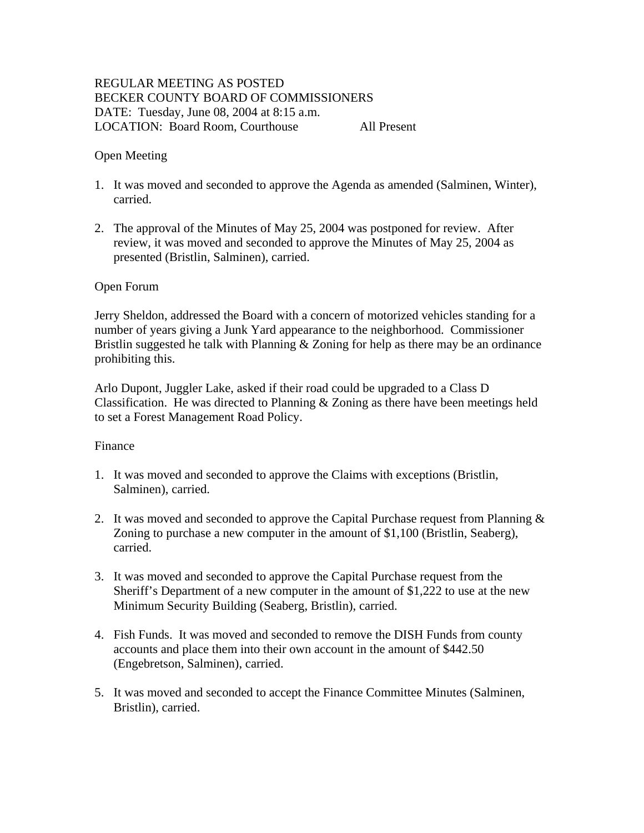# REGULAR MEETING AS POSTED BECKER COUNTY BOARD OF COMMISSIONERS DATE: Tuesday, June 08, 2004 at 8:15 a.m. LOCATION: Board Room, Courthouse All Present

## Open Meeting

- 1. It was moved and seconded to approve the Agenda as amended (Salminen, Winter), carried.
- 2. The approval of the Minutes of May 25, 2004 was postponed for review. After review, it was moved and seconded to approve the Minutes of May 25, 2004 as presented (Bristlin, Salminen), carried.

### Open Forum

Jerry Sheldon, addressed the Board with a concern of motorized vehicles standing for a number of years giving a Junk Yard appearance to the neighborhood. Commissioner Bristlin suggested he talk with Planning & Zoning for help as there may be an ordinance prohibiting this.

Arlo Dupont, Juggler Lake, asked if their road could be upgraded to a Class D Classification. He was directed to Planning & Zoning as there have been meetings held to set a Forest Management Road Policy.

### Finance

- 1. It was moved and seconded to approve the Claims with exceptions (Bristlin, Salminen), carried.
- 2. It was moved and seconded to approve the Capital Purchase request from Planning & Zoning to purchase a new computer in the amount of \$1,100 (Bristlin, Seaberg), carried.
- 3. It was moved and seconded to approve the Capital Purchase request from the Sheriff's Department of a new computer in the amount of \$1,222 to use at the new Minimum Security Building (Seaberg, Bristlin), carried.
- 4. Fish Funds. It was moved and seconded to remove the DISH Funds from county accounts and place them into their own account in the amount of \$442.50 (Engebretson, Salminen), carried.
- 5. It was moved and seconded to accept the Finance Committee Minutes (Salminen, Bristlin), carried.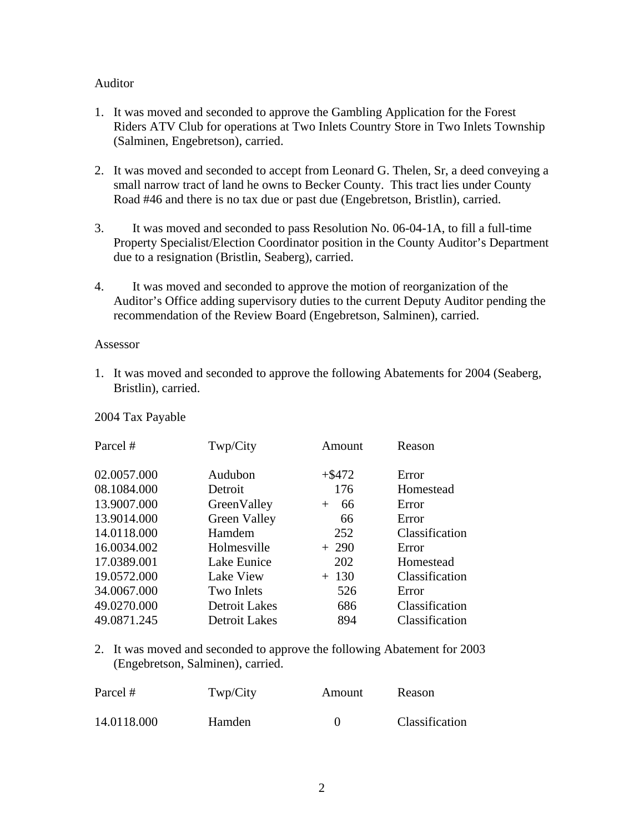### Auditor

- 1. It was moved and seconded to approve the Gambling Application for the Forest Riders ATV Club for operations at Two Inlets Country Store in Two Inlets Township (Salminen, Engebretson), carried.
- 2. It was moved and seconded to accept from Leonard G. Thelen, Sr, a deed conveying a small narrow tract of land he owns to Becker County. This tract lies under County Road #46 and there is no tax due or past due (Engebretson, Bristlin), carried.
- 3. It was moved and seconded to pass Resolution No. 06-04-1A, to fill a full-time Property Specialist/Election Coordinator position in the County Auditor's Department due to a resignation (Bristlin, Seaberg), carried.
- 4. It was moved and seconded to approve the motion of reorganization of the Auditor's Office adding supervisory duties to the current Deputy Auditor pending the recommendation of the Review Board (Engebretson, Salminen), carried.

#### Assessor

1. It was moved and seconded to approve the following Abatements for 2004 (Seaberg, Bristlin), carried.

| Parcel #    | Twp/City             | Amount    | Reason         |
|-------------|----------------------|-----------|----------------|
| 02.0057.000 | Audubon              | $+$ \$472 | Error          |
| 08.1084.000 | Detroit              | 176       | Homestead      |
| 13.9007.000 | GreenValley          | 66<br>$+$ | Error          |
| 13.9014.000 | <b>Green Valley</b>  | 66        | Error          |
| 14.0118.000 | Hamdem               | 252       | Classification |
| 16.0034.002 | Holmesville          | $+290$    | Error          |
| 17.0389.001 | Lake Eunice          | 202       | Homestead      |
| 19.0572.000 | Lake View            | $+ 130$   | Classification |
| 34.0067.000 | Two Inlets           | 526       | Error          |
| 49.0270.000 | <b>Detroit Lakes</b> | 686       | Classification |
| 49.0871.245 | <b>Detroit Lakes</b> | 894       | Classification |

2. It was moved and seconded to approve the following Abatement for 2003 (Engebretson, Salminen), carried.

| Parcel #    | Twp/City      | Amount | Reason         |
|-------------|---------------|--------|----------------|
| 14.0118.000 | <b>Hamden</b> |        | Classification |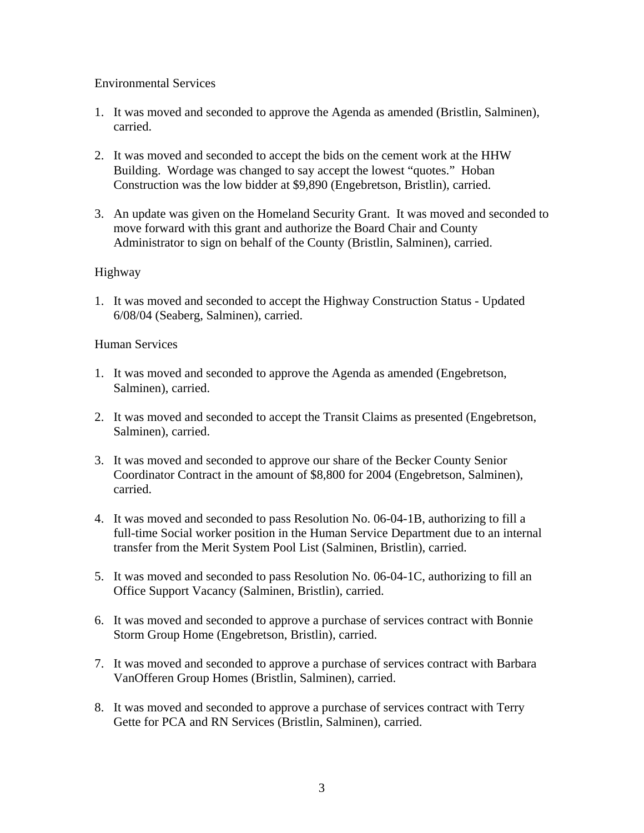## Environmental Services

- 1. It was moved and seconded to approve the Agenda as amended (Bristlin, Salminen), carried.
- 2. It was moved and seconded to accept the bids on the cement work at the HHW Building. Wordage was changed to say accept the lowest "quotes." Hoban Construction was the low bidder at \$9,890 (Engebretson, Bristlin), carried.
- 3. An update was given on the Homeland Security Grant. It was moved and seconded to move forward with this grant and authorize the Board Chair and County Administrator to sign on behalf of the County (Bristlin, Salminen), carried.

# Highway

1. It was moved and seconded to accept the Highway Construction Status - Updated 6/08/04 (Seaberg, Salminen), carried.

# Human Services

- 1. It was moved and seconded to approve the Agenda as amended (Engebretson, Salminen), carried.
- 2. It was moved and seconded to accept the Transit Claims as presented (Engebretson, Salminen), carried.
- 3. It was moved and seconded to approve our share of the Becker County Senior Coordinator Contract in the amount of \$8,800 for 2004 (Engebretson, Salminen), carried.
- 4. It was moved and seconded to pass Resolution No. 06-04-1B, authorizing to fill a full-time Social worker position in the Human Service Department due to an internal transfer from the Merit System Pool List (Salminen, Bristlin), carried.
- 5. It was moved and seconded to pass Resolution No. 06-04-1C, authorizing to fill an Office Support Vacancy (Salminen, Bristlin), carried.
- 6. It was moved and seconded to approve a purchase of services contract with Bonnie Storm Group Home (Engebretson, Bristlin), carried.
- 7. It was moved and seconded to approve a purchase of services contract with Barbara VanOfferen Group Homes (Bristlin, Salminen), carried.
- 8. It was moved and seconded to approve a purchase of services contract with Terry Gette for PCA and RN Services (Bristlin, Salminen), carried.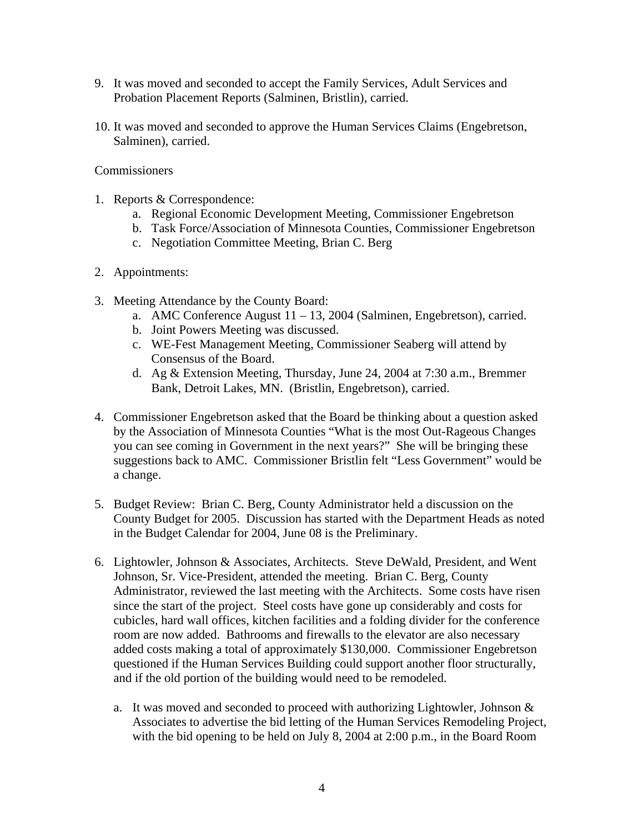- 9. It was moved and seconded to accept the Family Services, Adult Services and Probation Placement Reports (Salminen, Bristlin), carried.
- 10. It was moved and seconded to approve the Human Services Claims (Engebretson, Salminen), carried.

## **Commissioners**

- 1. Reports & Correspondence:
	- a. Regional Economic Development Meeting, Commissioner Engebretson
	- b. Task Force/Association of Minnesota Counties, Commissioner Engebretson
	- c. Negotiation Committee Meeting, Brian C. Berg
- 2. Appointments:
- 3. Meeting Attendance by the County Board:
	- a. AMC Conference August 11 13, 2004 (Salminen, Engebretson), carried.
	- b. Joint Powers Meeting was discussed.
	- c. WE-Fest Management Meeting, Commissioner Seaberg will attend by Consensus of the Board.
	- d. Ag & Extension Meeting, Thursday, June 24, 2004 at 7:30 a.m., Bremmer Bank, Detroit Lakes, MN. (Bristlin, Engebretson), carried.
- 4. Commissioner Engebretson asked that the Board be thinking about a question asked by the Association of Minnesota Counties "What is the most Out-Rageous Changes you can see coming in Government in the next years?" She will be bringing these suggestions back to AMC. Commissioner Bristlin felt "Less Government" would be a change.
- 5. Budget Review: Brian C. Berg, County Administrator held a discussion on the County Budget for 2005. Discussion has started with the Department Heads as noted in the Budget Calendar for 2004, June 08 is the Preliminary.
- 6. Lightowler, Johnson & Associates, Architects. Steve DeWald, President, and Went Johnson, Sr. Vice-President, attended the meeting. Brian C. Berg, County Administrator, reviewed the last meeting with the Architects. Some costs have risen since the start of the project. Steel costs have gone up considerably and costs for cubicles, hard wall offices, kitchen facilities and a folding divider for the conference room are now added. Bathrooms and firewalls to the elevator are also necessary added costs making a total of approximately \$130,000. Commissioner Engebretson questioned if the Human Services Building could support another floor structurally, and if the old portion of the building would need to be remodeled.
	- a. It was moved and seconded to proceed with authorizing Lightowler, Johnson & Associates to advertise the bid letting of the Human Services Remodeling Project, with the bid opening to be held on July 8, 2004 at 2:00 p.m., in the Board Room